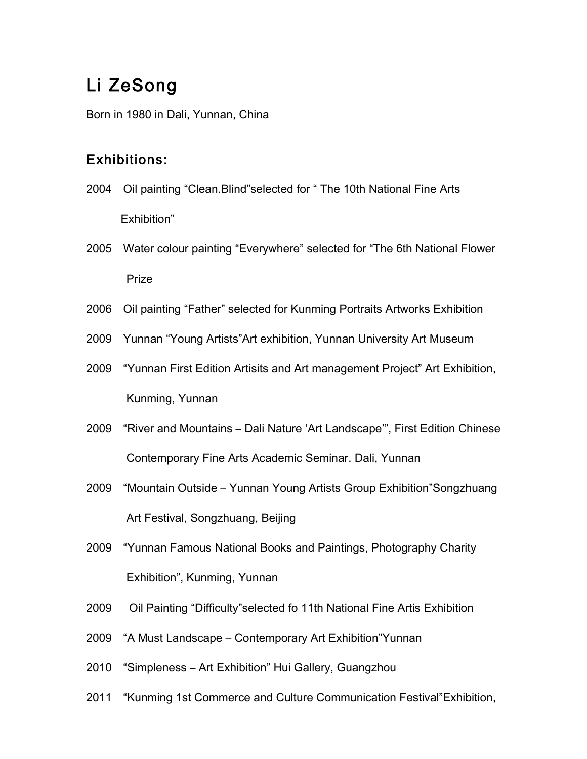## Li ZeSong

Born in 1980 in Dali, Yunnan, China

## Exhibitions:

- 2004 Oil painting "Clean.Blind"selected for " The 10th National Fine Arts Exhibition"
- 2005 Water colour painting "Everywhere" selected for "The 6th National Flower Prize
- 2006 Oil painting "Father" selected for Kunming Portraits Artworks Exhibition
- 2009 Yunnan "Young Artists"Art exhibition, Yunnan University Art Museum
- 2009 "Yunnan First Edition Artisits and Art management Project" Art Exhibition, Kunming, Yunnan
- 2009 "River and Mountains Dali Nature 'Art Landscape'", First Edition Chinese Contemporary Fine Arts Academic Seminar. Dali, Yunnan
- 2009 "Mountain Outside Yunnan Young Artists Group Exhibition"Songzhuang Art Festival, Songzhuang, Beijing
- 2009 "Yunnan Famous National Books and Paintings, Photography Charity Exhibition", Kunming, Yunnan
- 2009 Oil Painting "Difficulty"selected fo 11th National Fine Artis Exhibition
- 2009 "A Must Landscape Contemporary Art Exhibition"Yunnan
- 2010 "Simpleness Art Exhibition" Hui Gallery, Guangzhou
- 2011 "Kunming 1st Commerce and Culture Communication Festival"Exhibition,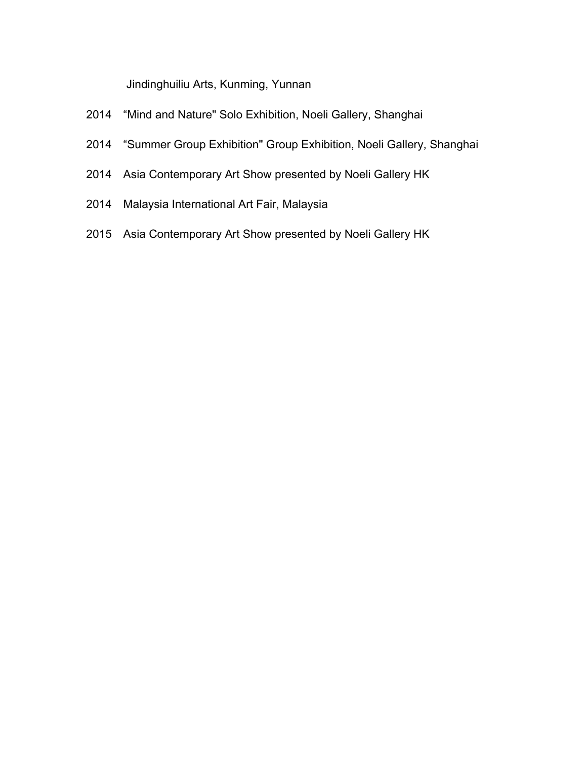Jindinghuiliu Arts, Kunming, Yunnan

- 2014 "Mind and Nature" Solo Exhibition, Noeli Gallery, Shanghai
- 2014 "Summer Group Exhibition" Group Exhibition, Noeli Gallery, Shanghai
- 2014 Asia Contemporary Art Show presented by Noeli Gallery HK
- 2014 Malaysia International Art Fair, Malaysia
- 2015 Asia Contemporary Art Show presented by Noeli Gallery HK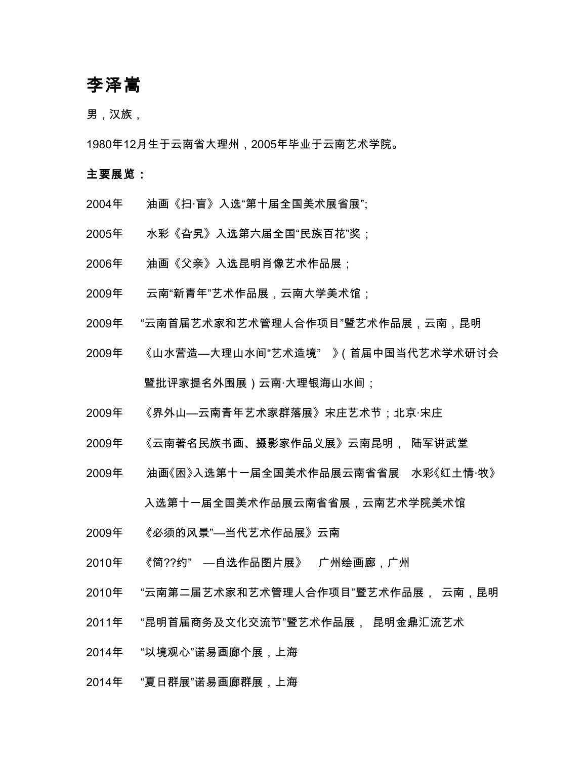## 李泽嵩

男,汉族,

1980年12月生于云南省大理州,2005年毕业于云南艺术学院。

## 主要展览:

- 2004年 油画《扫·盲》入选"第十届全国美术展省展";
- 2005年 水彩《旮旯》入选第六届全国"民族百花"奖;
- 2006年 油画《父亲》入选昆明肖像艺术作品展;
- 2009年 云南"新青年"艺术作品展,云南大学美术馆;
- 2009年 "云南首届艺术家和艺术管理人合作项目"暨艺术作品展,云南,昆明
- 2009年 《山水营造—大理山水间"艺术造境" 》(首届中国当代艺术学术研讨会 暨批评家提名外围展)云南·大理银海山水间;
- 2009年 《界外山—云南青年艺术家群落展》宋庄艺术节;北京·宋庄
- 2009年 《云南著名民族书画、摄影家作品义展》云南昆明, 陆军讲武堂
- 2009年 油画《困》入选第十一届全国美术作品展云南省省展 水彩《红土情·牧》 入选第十一届全国美术作品展云南省省展,云南艺术学院美术馆
- 2009年 《必须的风景"—当代艺术作品展》云南
- 2010年 《"简??约" —自选作品图片展》 广州绘画廊,广州
- 2010年 "云南第二届艺术家和艺术管理人合作项目"暨艺术作品展, 云南,昆明
- 2011年 "昆明首届商务及文化交流节"暨艺术作品展, 昆明金鼎汇流艺术
- 2014年 "以境观心"诺易画廊个展,上海
- 2014年 "夏日群展"诺易画廊群展,上海